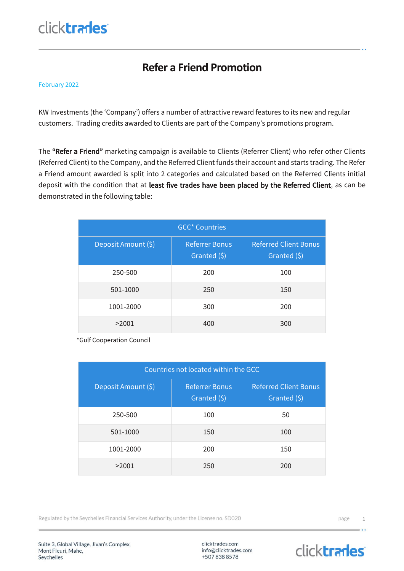## click**trades**

#### **Refer a Friend Promotion**

#### February 2022

KW Investments (the 'Company') offers a number of attractive reward features to its new and regular customers. Trading credits awarded to Clients are part of the Company's promotions program.

The "Refer a Friend" marketing campaign is available to Clients (Referrer Client) who refer other Clients (Referred Client) to the Company, and the Referred Client funds their account and starts trading. The Refer a Friend amount awarded is split into 2 categories and calculated based on the Referred Clients initial deposit with the condition that at least five trades have been placed by the Referred Client, as can be demonstrated in the following table:

| <b>GCC* Countries</b> |                                       |                                              |  |
|-----------------------|---------------------------------------|----------------------------------------------|--|
| Deposit Amount (\$)   | <b>Referrer Bonus</b><br>Granted (\$) | <b>Referred Client Bonus</b><br>Granted (\$) |  |
| 250-500               | 200                                   | 100                                          |  |
| 501-1000              | 250                                   | 150                                          |  |
| 1001-2000             | 300                                   | 200                                          |  |
| >2001                 | 400                                   | 300                                          |  |

\*Gulf Cooperation Council

| Countries not located within the GCC |                                          |                                              |  |
|--------------------------------------|------------------------------------------|----------------------------------------------|--|
| Deposit Amount (\$)                  | <b>Referrer Bonus</b><br>Granted $(\xi)$ | <b>Referred Client Bonus</b><br>Granted (\$) |  |
| 250-500                              | 100                                      | 50                                           |  |
| 501-1000                             | 150                                      | 100                                          |  |
| 1001-2000                            | 200                                      | 150                                          |  |
| >2001                                | 250                                      | 200                                          |  |

Regulated by the Seychelles Financial Services Authority, under the License no. SD020

Suite 3, Global Village, Jivan's Complex, Mont Fleuri, Mahe, Seychelles

clicktrades.com info@clicktrades.com +5078388578

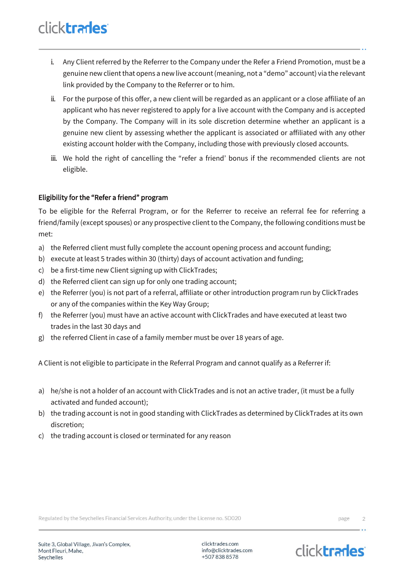# click**trades**

- i. Any Client referred by the Referrer to the Company under the Refer a Friend Promotion, must be a genuine new client that opens a new live account (meaning, not a "demo" account) via the relevant link provided by the Company to the Referrer or to him.
- ii. For the purpose of this offer, a new client will be regarded as an applicant or a close affiliate of an applicant who has never registered to apply for a live account with the Company and is accepted by the Company. The Company will in its sole discretion determine whether an applicant is a genuine new client by assessing whether the applicant is associated or affiliated with any other existing account holder with the Company, including those with previously closed accounts.
- iii. We hold the right of cancelling the "refer a friend' bonus if the recommended clients are not eligible.

#### Eligibility for the "Refer a friend" program

To be eligible for the Referral Program, or for the Referrer to receive an referral fee for referring a friend/family (except spouses) or any prospective client to the Company, the following conditions must be met:

- a) the Referred client must fully complete the account opening process and account funding;
- b) execute at least 5 trades within 30 (thirty) days of account activation and funding;
- c) be a first-time new Client signing up with ClickTrades;
- d) the Referred client can sign up for only one trading account;
- e) the Referrer (you) is not part of a referral, affiliate or other introduction program run by ClickTrades or any of the companies within the Key Way Group;
- f) the Referrer (you) must have an active account with ClickTrades and have executed at least two trades in the last 30 days and
- g) the referred Client in case of a family member must be over 18 years of age.

A Client is not eligible to participate in the Referral Program and cannot qualify as a Referrer if:

- a) he/she is not a holder of an account with ClickTrades and is not an active trader, (it must be a fully activated and funded account);
- b) the trading account is not in good standing with ClickTrades as determined by ClickTrades at its own discretion;
- c) the trading account is closed or terminated for any reason

Regulated by the Seychelles Financial Services Authority, under the License no. SD020

clicktrades.com info@clicktrades.com +5078388578